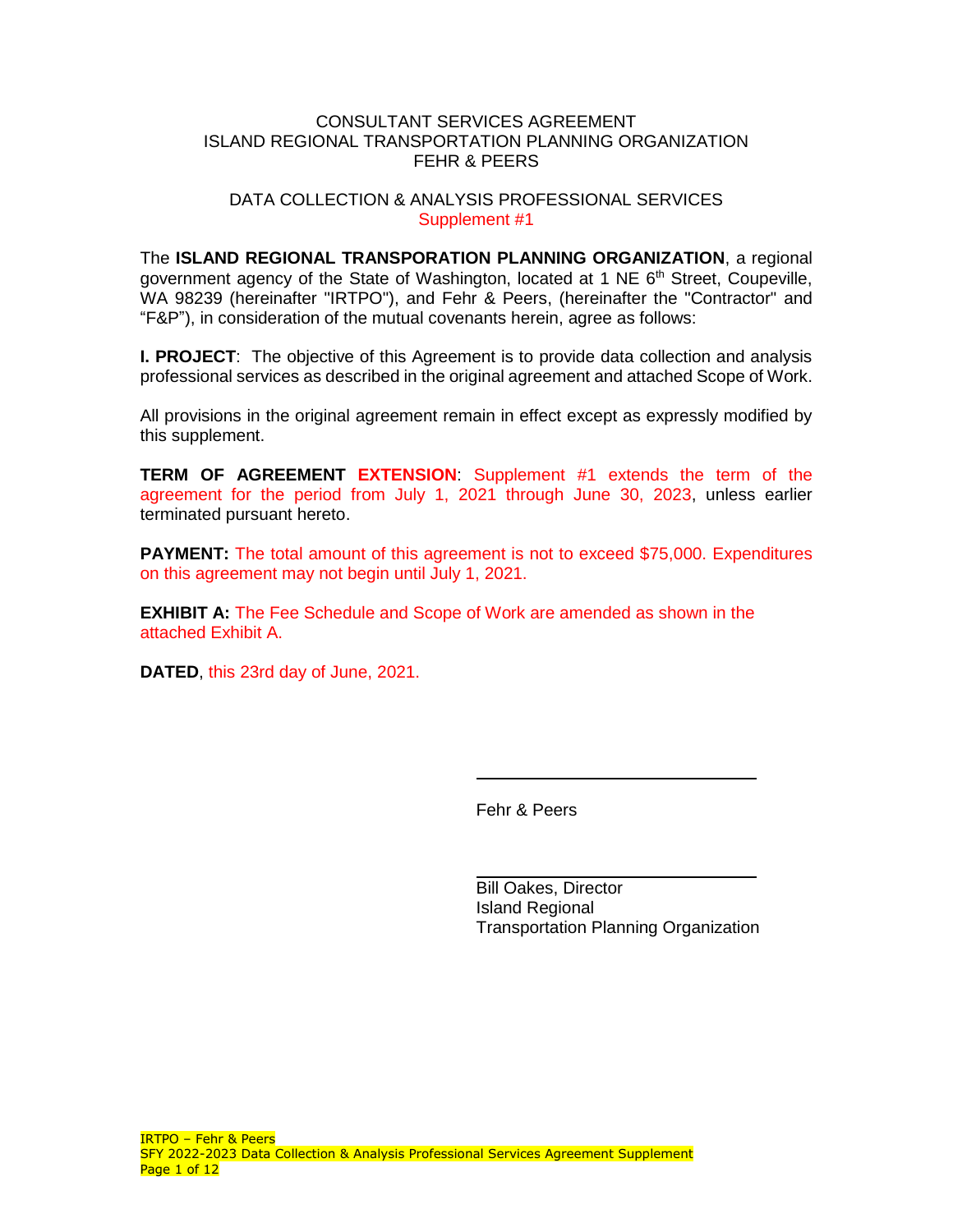#### CONSULTANT SERVICES AGREEMENT ISLAND REGIONAL TRANSPORTATION PLANNING ORGANIZATION FEHR & PEERS

#### DATA COLLECTION & ANALYSIS PROFESSIONAL SERVICES Supplement #1

The **ISLAND REGIONAL TRANSPORATION PLANNING ORGANIZATION**, a regional government agency of the State of Washington, located at 1 NE 6<sup>th</sup> Street, Coupeville, WA 98239 (hereinafter "IRTPO"), and Fehr & Peers, (hereinafter the "Contractor" and "F&P"), in consideration of the mutual covenants herein, agree as follows:

**I. PROJECT**: The objective of this Agreement is to provide data collection and analysis professional services as described in the original agreement and attached Scope of Work.

All provisions in the original agreement remain in effect except as expressly modified by this supplement.

**TERM OF AGREEMENT EXTENSION**: Supplement #1 extends the term of the agreement for the period from July 1, 2021 through June 30, 2023, unless earlier terminated pursuant hereto.

**PAYMENT:** The total amount of this agreement is not to exceed \$75,000. Expenditures on this agreement may not begin until July 1, 2021.

**EXHIBIT A: The Fee Schedule and Scope of Work are amended as shown in the** attached Exhibit A.

**DATED**, this 23rd day of June, 2021.

Fehr & Peers

Bill Oakes, Director Island Regional Transportation Planning Organization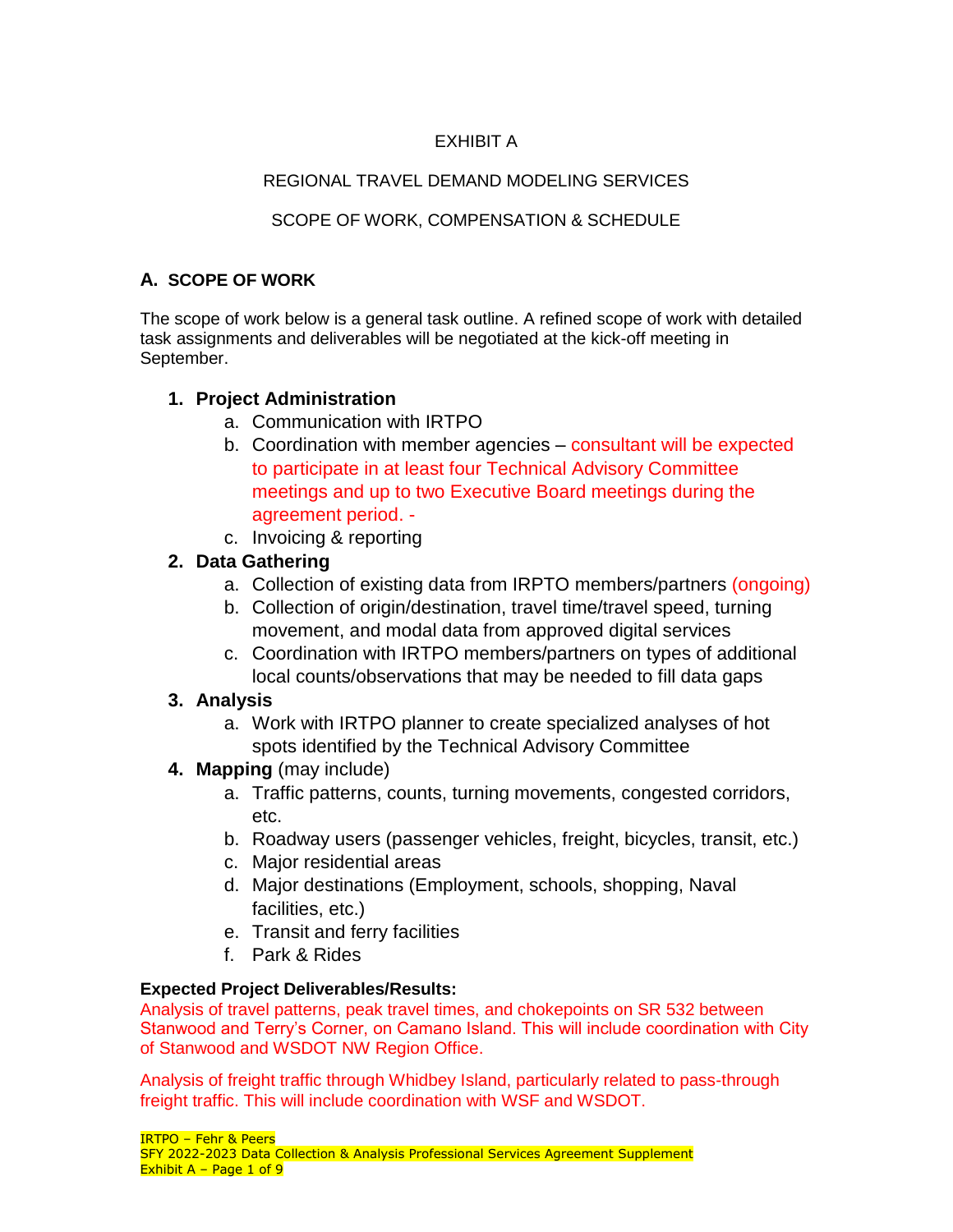# EXHIBIT A

# REGIONAL TRAVEL DEMAND MODELING SERVICES

### SCOPE OF WORK, COMPENSATION & SCHEDULE

### **A. SCOPE OF WORK**

The scope of work below is a general task outline. A refined scope of work with detailed task assignments and deliverables will be negotiated at the kick-off meeting in September.

### **1. Project Administration**

- a. Communication with IRTPO
- b. Coordination with member agencies consultant will be expected to participate in at least four Technical Advisory Committee meetings and up to two Executive Board meetings during the agreement period. -
- c. Invoicing & reporting

# **2. Data Gathering**

- a. Collection of existing data from IRPTO members/partners (ongoing)
- b. Collection of origin/destination, travel time/travel speed, turning movement, and modal data from approved digital services
- c. Coordination with IRTPO members/partners on types of additional local counts/observations that may be needed to fill data gaps

# **3. Analysis**

a. Work with IRTPO planner to create specialized analyses of hot spots identified by the Technical Advisory Committee

# **4. Mapping** (may include)

- a. Traffic patterns, counts, turning movements, congested corridors, etc.
- b. Roadway users (passenger vehicles, freight, bicycles, transit, etc.)
- c. Major residential areas
- d. Major destinations (Employment, schools, shopping, Naval facilities, etc.)
- e. Transit and ferry facilities
- f. Park & Rides

#### **Expected Project Deliverables/Results:**

Analysis of travel patterns, peak travel times, and chokepoints on SR 532 between Stanwood and Terry's Corner, on Camano Island. This will include coordination with City of Stanwood and WSDOT NW Region Office.

Analysis of freight traffic through Whidbey Island, particularly related to pass-through freight traffic. This will include coordination with WSF and WSDOT.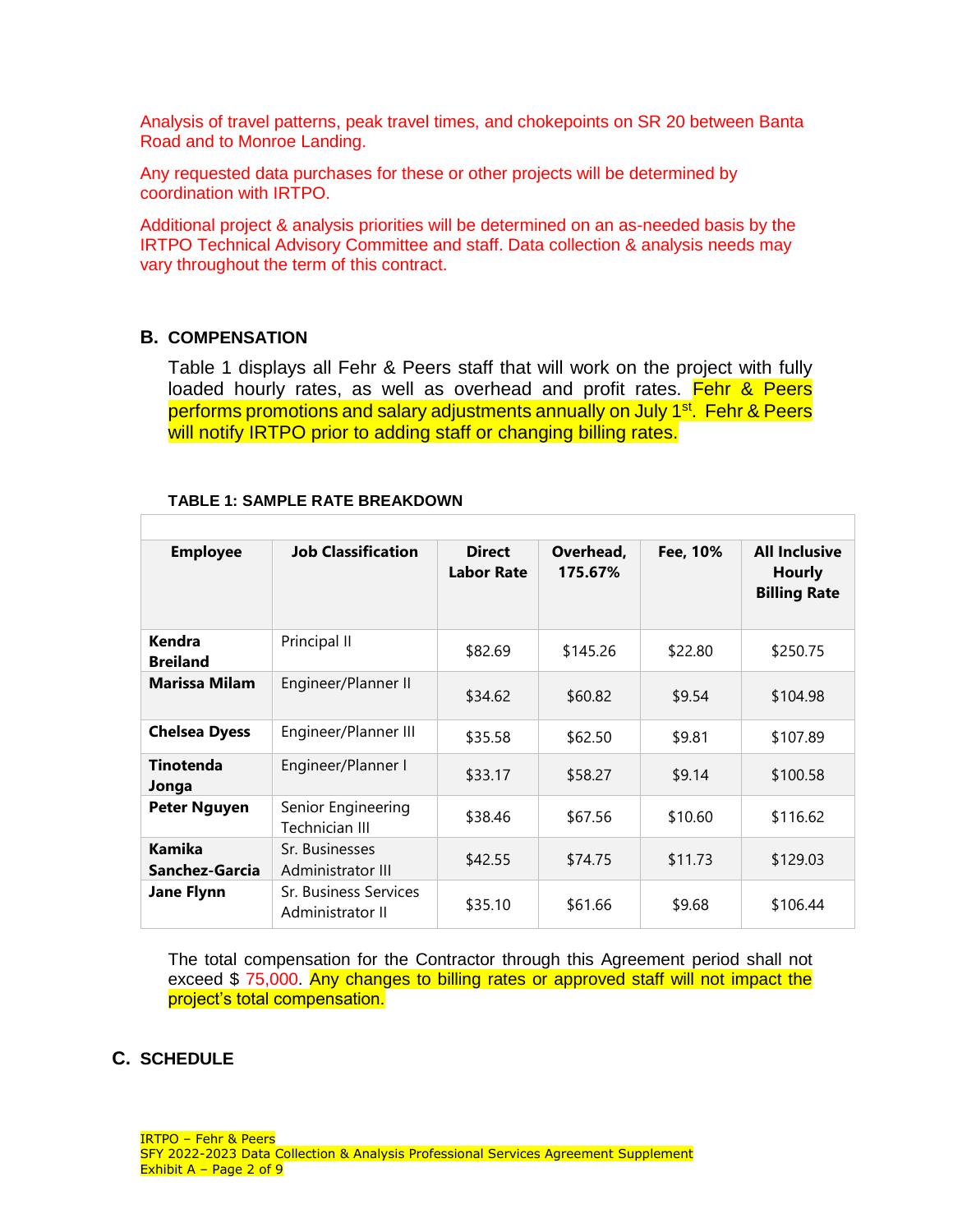Analysis of travel patterns, peak travel times, and chokepoints on SR 20 between Banta Road and to Monroe Landing.

Any requested data purchases for these or other projects will be determined by coordination with IRTPO.

Additional project & analysis priorities will be determined on an as-needed basis by the IRTPO Technical Advisory Committee and staff. Data collection & analysis needs may vary throughout the term of this contract.

#### **B. COMPENSATION**

Table 1 displays all Fehr & Peers staff that will work on the project with fully loaded hourly rates, as well as overhead and profit rates. Fehr & Peers performs promotions and salary adjustments annually on July 1<sup>st</sup>. Fehr & Peers will notify IRTPO prior to adding staff or changing billing rates.

| <b>Employee</b>                  | <b>Job Classification</b>                 | <b>Direct</b><br><b>Labor Rate</b> | Overhead,<br>175.67% | Fee, 10% | <b>All Inclusive</b><br><b>Hourly</b><br><b>Billing Rate</b> |
|----------------------------------|-------------------------------------------|------------------------------------|----------------------|----------|--------------------------------------------------------------|
| <b>Kendra</b><br><b>Breiland</b> | Principal II                              | \$82.69                            | \$145.26             | \$22.80  | \$250.75                                                     |
| <b>Marissa Milam</b>             | Engineer/Planner II                       | \$34.62                            | \$60.82              | \$9.54   | \$104.98                                                     |
| <b>Chelsea Dyess</b>             | Engineer/Planner III                      | \$35.58                            | \$62.50              | \$9.81   | \$107.89                                                     |
| <b>Tinotenda</b><br>Jonga        | Engineer/Planner I                        | \$33.17                            | \$58.27              | \$9.14   | \$100.58                                                     |
| <b>Peter Nguyen</b>              | Senior Engineering<br>Technician III      | \$38.46                            | \$67.56              | \$10.60  | \$116.62                                                     |
| Kamika<br>Sanchez-Garcia         | Sr. Businesses<br>Administrator III       | \$42.55                            | \$74.75              | \$11.73  | \$129.03                                                     |
| <b>Jane Flynn</b>                | Sr. Business Services<br>Administrator II | \$35.10                            | \$61.66              | \$9.68   | \$106.44                                                     |

#### **TABLE 1: SAMPLE RATE BREAKDOWN**

The total compensation for the Contractor through this Agreement period shall not exceed \$ 75,000. Any changes to billing rates or approved staff will not impact the project's total compensation.

#### **C. SCHEDULE**